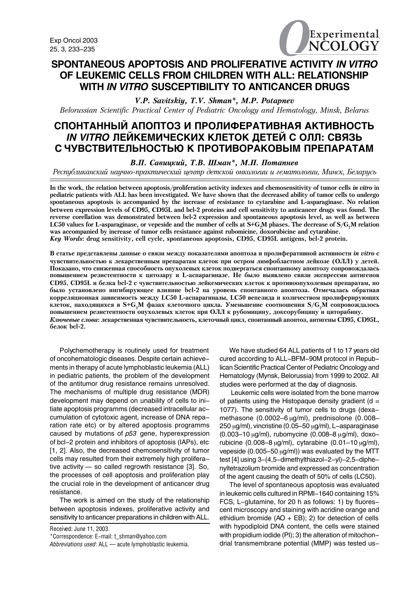

## **SPONTANEOUS APOPTOSIS AND PROLIFERATIVE ACTIVITY** *IN VITRO* **OF LEUKEMIC CELLS FROM CHILDREN WITH ALL: RELATIONSHIP WITH** *IN VITRO* **SUSCEPTIBILITY TO ANTICANCER DRUGS**

V.P. Savitskiy, T.V. Shman\*, M.P. Potapnev Belorussian Scientific Practical Center of Pediatric Oncology and Hematology, Minsk, Belarus

# СПОНТАННЫЙ АПОПТОЗ И ПРОЛИФЕРАТИВНАЯ АКТИВНОСТЬ IN VITRO ЛЕЙКЕМИЧЕСКИХ КЛЕТОК ДЕТЕЙ С ОЛЛ: СВЯЗЬ С ЧУВСТВИТЕЛЬНОСТЬЮ К ПРОТИВОРАКОВЫМ ПРЕПАРАТАМ

## В.П. Савицкий, Т.В. Шман\*, М.П. Потапнев

Республиканский научно-практический центр детской онкологии и гематологии, Минск, Беларусь

In the work, the relation between apoptosis/proliferation activity indexes and chemosensitivity of tumor cells in vitro in pediatric patients with ALL has been investigated. We have shown that the decreased ability of tumor cells to undergo spontaneous apoptosis is accompanied by the increase of resistance to cytarabine and L-asparaginase. No relation between expression levels of CD95, CD95L and bcl-2 proteins and cell sensitivity to anticancer drugs was found. The reverse corellation was demonstrated between bcl-2 expression and spontaneous apoptosis level, as well as between LC50 values for L-asparaginase, or vepeside and the number of cells at S+G<sub>2</sub>M phases. The decrease of S/G<sub>2</sub>M relation was accompanied by increase of tumor cells resistance against rubomicine, doxorubicine and cytarabine. Key Words: drug sensitivity, cell cycle, spontaneous apoptosis, CD95, CD95L antigens, bcl-2 protein.

В статье представлены данные о связи между показателями апоптоза и пролиферативной активности *in vitro* с чувствительностью к лекарственным препаратам клеток при остром лимфобластном лейкозе (ОЛЛ) у детей. Показано, что сниженная способность опухолевых клеток подвергаться спонтанному апоптозу сопровождалась повышением резистентности к цитозару и L-аспарагиназе. Не было выявлено связи экспрессии антигенов CD95, CD95L и белка bcl-2 с чувствительностью лейкемических клеток к противоопухолевым препаратам, но было установлено ингибирующее влияние bcl-2 на уровень спонтанного апоптоза. Отмечалась обратная корреляционная зависимость между LC50 L-аспарагиназы, LC50 вепезида и количеством пролиферирующих клеток, находящихся в S+G<sub>2</sub>M фазах клеточного цикла. Уменьшение соотношения S/G<sub>2</sub>M сопровождалось повышением резистентности опухолевых клеток при ОЛЛ к рубомицину, доксорубицину и циторабину. Ключевые слова: лекарственная чувствительность, клеточный цикл, спонтанный апоптоз, антигены CD95, CD95L, белок bcl-2.

Polychemotherapy is routinely used for treatment of oncohematologic diseases. Despite certain achievements in therapy of acute lymphoblastic leukemia (ALL) in pediatric patients, the problem of the development of the antitumor drug resistance remains unresolved. The mechanisms of multiple drug resistance (MDR) development may depend on unability of cells to initiate apoptosis programms (decreased intracellular accumulation of cytotoxic agent, increase of DNA reparation rate etc) or by altered apoptosis programms caused by mutations of *ð53* gene, hyperexpression of bcl-2 protein and inhibitors of apoptosis (IAPs), etc [1, 2]. Also, the decreased chemosensitivity of tumor cells may resulted from their extremely high proliferative activity — so called regrowth resistance [3]. So, the processes of cell apoptosis and proliferation play the crucial role in the development of anticancer drug resistance.

The work is aimed on the study of the relationship between apoptosis indexes, proliferative activity and sensitivity to anticancer preparations in children with ALL.

Received: June 11, 2003.

\*Correspondence: E-mail: t\_shman@yahoo.com

*Abbreviations used*: ALL — acute lymphoblastic leukemia.

We have studied 64 ALL patients of 1 to 17 years old cured according to ALL-BFM-90M protocol in Republican Scientific Practical Center of Pediatric Oncology and Hematology (Mynsk, Belorussia) from 1999 to 2002. All studies were performed at the day of diagnosis.

 Leukemic cells were isolated from the bone marrow of patients using the Histopaque density gradient  $(d =$ 1077). The sensitivity of tumor cells to drugs (dexamethasone (0.0002–6 µg/ml), prednisolone (0.008– 250 µg/ml), vincristine (0.05–50 µg/ml), L-asparaginase (0.003–10 µg/ml), rubomycine (0.008–8 µg/ml), doxorubicine (0.008–8  $\mu$ g/ml), cytarabine (0.01–10  $\mu$ g/ml), vepeside (0.005–50  $\mu$ g/ml)) was evaluated by the MTT test [4] using 3-(4,5-dimethylthiazol-2-yl)-2,5-diphenyltetrazolium bromide and expressed as concentration of the agent causing the death of 50% of cells (LC50).

The level of spontaneous apoptosis was evaluated in leukemic cells cultured in RPMI-1640 containing 15% FCS, L-glutamine, for 20 h as follows: 1) by fluorescent microscopy and staining with acridine orange and ethidium bromide  $(AO + EB)$ ; 2) for detection of cells with hypodiploid DNA content, the cells were stained with propidium iodide (PI); 3) the alteration of mitochondrial transmembrane potential (MMP) was tested us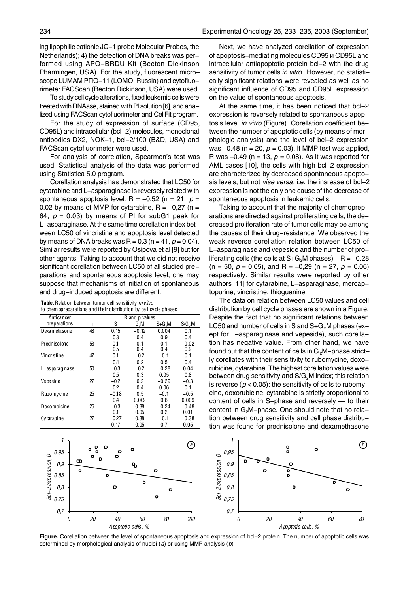ing lipophilic cationic JC-1 probe Molecular Probes, the Netherlands); 4) the detection of DNA breaks was performed using APO-BRDU Kit (Becton Dickinson Pharmingen, USA). For the study, fluorescent microscope LUMAM PNO-11 (LOMO, Russia) and cytofluorimeter FACScan (Becton Dickinson, USA) were used.

To study cell cycle alterations, fixed leukemic cells were treated with RNAase, stained with PI solution [6], and analized using FACScan cytofluorimeter and CellFit program.

For the study of expression of surface (CD95, CD95L) and intracellular (bcl-2) molecules, monoclonal antibodies DX2, NOK-1, bcl-2/100 (B&D, USA) and FACScan cytofluorimeter were used.

For analysis of correlation, Spearmen's test was used. Statistical analysis of the data was performed using Statistica 5.0 program.

Corellation analysis has demonstrated that LC50 for cytarabine and L-asparaginase is reversely related with spontaneous apoptosis level:  $R = -0.52$  (n = 21, p = 0.02 by means of MMP for cytarabine,  $R = -0.27$  (n = 64,  $p = 0.03$ ) by means of PI for subG1 peak for L-asparaginase. At the same time corellation index between LC50 of vincristine and apoptosis level detected by means of DNA breaks was  $R = 0.3$  ( $n = 41$ ,  $p = 0.04$ ). Similar results were reported by Osipova et al [9] but for other agents. Taking to account that we did not receive significant corellation between LC50 of all studied preparations and spontaneous apoptosis level, one may suppose that mechanisms of initiation of spontaneous and drug-induced apoptosis are different.

| Anticancer     | R and p values |         |         |           |                     |
|----------------|----------------|---------|---------|-----------|---------------------|
| preparations   | n              | ऽ       | G.M     | $S + G2M$ | $\overline{S/G}_2M$ |
| Dexameta sone  | 48             | 0.15    | $-0.12$ | 0.004     | 0.1                 |
|                |                | 03      | 0.4     | 0.9       | 0.4                 |
| Prednisolone   | 53             | 0.1     | 0.1     | 0.1       | $-0.02$             |
|                |                | 0.5     | 0.4     | 0.4       | 0.9                 |
| Vincristine    | 47             | 0.1     | $-0.2$  | $-0.1$    | 0.1                 |
|                |                | 0.4     | 0.2     | 0.5       | 0.4                 |
| L-asparaginase | 50             | $-0.3$  | $-0.2$  | $-0.28$   | 0.04                |
|                |                | 0.5     | 0.3     | 0.05      | 0.8                 |
| Vepeside       | 27             | $-0.2$  | 0.2     | $-0.29$   | $-0.3$              |
|                |                | 02      | 0.4     | 0.06      | 0.1                 |
| Rubomycine     | 25             | $-0.18$ | 0.5     | $-0.1$    | $-0.5$              |
|                |                | 0.4     | 0.009   | 0.6       | 0.009               |
| Doxorubicine   | 26             | $-0.3$  | 0.38    | $-0.24$   | $-0.48$             |
|                |                | 0.1     | 0.05    | 0.2       | 0.01                |
| Cytarabine     | 27             | $-0.27$ | 0.38    | $-0.1$    | $-0.38$             |
|                |                | 0.17    | 0.05    | 0.7       | 0.05                |

**Table.** Relation between tumor cell sensitivity *in vitro*  to chem opreparations and their distribution by cell cycle phases

*1 1*  $\overline{0}$  $\mathbf C$  $\mathbf{o}$  $\sigma$ *0,95 0,95*  $\mathbf{\sigma}$ Bcl-2 expression, D c Bcl-2 expression, D *Bcl-2 expression, D Bcl-2 expression, D*  $\mathbf{o}$  $\mathbf{D}$ *0,9*  $\mathbf{r}$ *0,9*  $\bullet$ *0,85*  $\bullet$ *0,85* D  $\circ$ *0,8 0,8*  $\circ$  $\circ$ *0,75 0,75 0,7 0,7 0 20 40 60 80 100 Apoptotic cells, %*

Next, we have analyzed corellation of expression of apoptosis-mediating molecules CD95  $\mu$  CD95L and intracellular antiapoptotic protein bcl-2 with the drug sensitivity of tumor cells *in vitro*. However, no statistically significant relations were revealed as well as no significant influence of CD95 and CD95L expression on the value of spontaneous apoptosis.

At the same time, it has been noticed that bcl-2 expression is reversely related to spontaneous apoptosis level *in vitro* (Figure)*.* Corellation coefficient between the number of apoptotic cells (by means of morphologic analysis) and the level of bcl-2 expression was  $-0.48$  (n = 20,  $p = 0.03$ ). If MMP test was applied, R was  $-0.49$  (n = 13,  $p = 0.08$ ). As it was reported for AML cases [10], the cells with high bcl-2 expression are characterized by decreased spontaneous apoptosis levels, but not *vise versa*; i.e. the insrease of bcl-2 expression is not the only one cause of the decrease of spontaneous apoptosis in leukemic cells.

Taking to account that the majority of chemopreparations are directed against proliferating cells, the decreased proliferation rate of tumor cells may be among the causes of their drug-resistance. We observed the weak reverse corellation relation between LC50 of L-asparaginase and vepeside and the number of proliferating cells (the cells at  $S+G_2M$  phases) – R = -0.28  $(n = 50, p = 0.05)$ , and R = -0.29 (n = 27, p = 0.06) respectively. Similar results were reported by other authors [11] for cytarabine, L-asparaginase, mercaptopurine, vincristine, thioguanine.

The data on relation between LC50 values and cell distribution by cell cycle phases are shown in a Figure. Despite the fact that no significant relations between LC50 and number of cells in S and  $S+G<sub>2</sub>M$  phases (exept for L-asparaginase and vepeside), such corellation has negative value. From other hand, we have found out that the content of cells in  $G_2M$ -phase strictly corellates with their sensitivity to rubomycine, doxorubicine, cytarabine. The highest corellation values were between drug sensitivity and  $S/G<sub>2</sub>M$  index; this relation is reverse ( $p < 0.05$ ): the sensitivity of cells to rubomycine, doxorubicine, cytarabine is strictly proportional to content of cells in S-phase and reversely — to their content in G<sub>2</sub>M-phase. One should note that no relation between drug sensitivity and cell phase distribution was found for prednisolone and dexamethasone



Figure. Corellation between the level of spontaneous apoptosis and expression of bcl-2 protein. The number of apoptotic cells was determined by morphological analysis of nuclei ( *a*) or using MMP analysis (*b*)